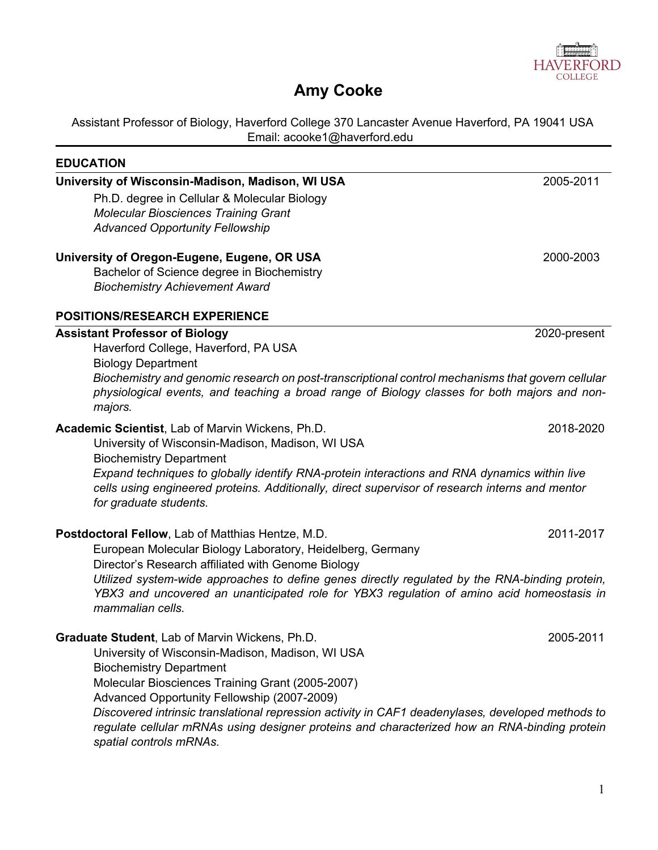

# **Amy Cooke**

Assistant Professor of Biology, Haverford College 370 Lancaster Avenue Haverford, PA 19041 USA Email: acooke1@haverford.edu

| <b>EDUCATION</b>                                                                                                                                                                                                             |              |
|------------------------------------------------------------------------------------------------------------------------------------------------------------------------------------------------------------------------------|--------------|
| University of Wisconsin-Madison, Madison, WI USA                                                                                                                                                                             | 2005-2011    |
| Ph.D. degree in Cellular & Molecular Biology                                                                                                                                                                                 |              |
| <b>Molecular Biosciences Training Grant</b>                                                                                                                                                                                  |              |
| <b>Advanced Opportunity Fellowship</b>                                                                                                                                                                                       |              |
| University of Oregon-Eugene, Eugene, OR USA                                                                                                                                                                                  | 2000-2003    |
| Bachelor of Science degree in Biochemistry                                                                                                                                                                                   |              |
| <b>Biochemistry Achievement Award</b>                                                                                                                                                                                        |              |
| <b>POSITIONS/RESEARCH EXPERIENCE</b>                                                                                                                                                                                         |              |
| <b>Assistant Professor of Biology</b>                                                                                                                                                                                        | 2020-present |
| Haverford College, Haverford, PA USA                                                                                                                                                                                         |              |
| <b>Biology Department</b>                                                                                                                                                                                                    |              |
| Biochemistry and genomic research on post-transcriptional control mechanisms that govern cellular                                                                                                                            |              |
| physiological events, and teaching a broad range of Biology classes for both majors and non-<br>majors.                                                                                                                      |              |
| Academic Scientist, Lab of Marvin Wickens, Ph.D.                                                                                                                                                                             | 2018-2020    |
| University of Wisconsin-Madison, Madison, WI USA                                                                                                                                                                             |              |
| <b>Biochemistry Department</b>                                                                                                                                                                                               |              |
| Expand techniques to globally identify RNA-protein interactions and RNA dynamics within live<br>cells using engineered proteins. Additionally, direct supervisor of research interns and mentor<br>for graduate students.    |              |
| Postdoctoral Fellow, Lab of Matthias Hentze, M.D.                                                                                                                                                                            | 2011-2017    |
| European Molecular Biology Laboratory, Heidelberg, Germany                                                                                                                                                                   |              |
| Director's Research affiliated with Genome Biology                                                                                                                                                                           |              |
| Utilized system-wide approaches to define genes directly regulated by the RNA-binding protein,<br>YBX3 and uncovered an unanticipated role for YBX3 regulation of amino acid homeostasis in                                  |              |
| mammalian cells.                                                                                                                                                                                                             |              |
| Graduate Student, Lab of Marvin Wickens, Ph.D.                                                                                                                                                                               | 2005-2011    |
| University of Wisconsin-Madison, Madison, WI USA                                                                                                                                                                             |              |
| <b>Biochemistry Department</b>                                                                                                                                                                                               |              |
| Molecular Biosciences Training Grant (2005-2007)                                                                                                                                                                             |              |
| Advanced Opportunity Fellowship (2007-2009)                                                                                                                                                                                  |              |
| Discovered intrinsic translational repression activity in CAF1 deadenylases, developed methods to<br>regulate cellular mRNAs using designer proteins and characterized how an RNA-binding protein<br>spatial controls mRNAs. |              |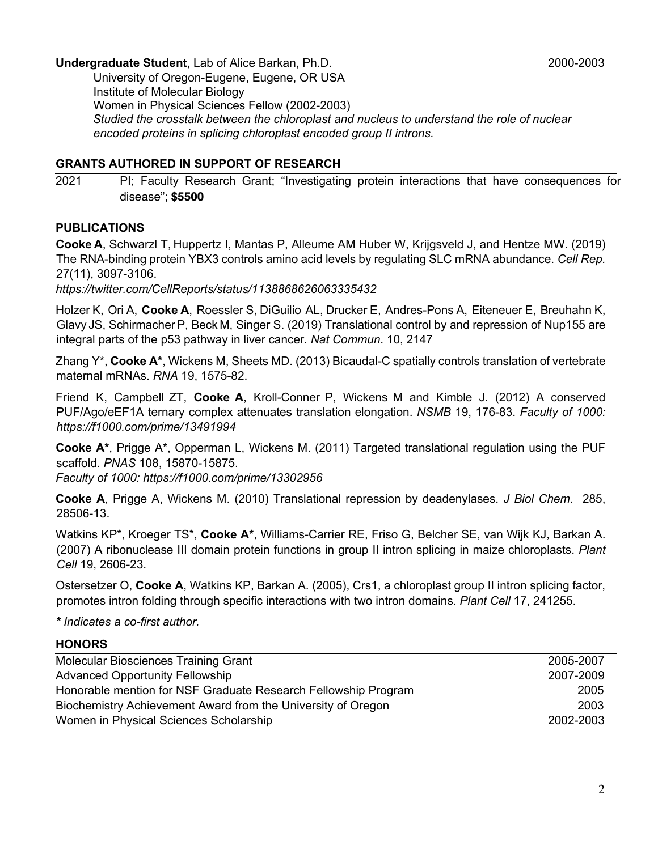# **Undergraduate Student**, Lab of Alice Barkan, Ph.D. 2000-2003 2000-2003

University of Oregon-Eugene, Eugene, OR USA Institute of Molecular Biology Women in Physical Sciences Fellow (2002-2003) *Studied the crosstalk between the chloroplast and nucleus to understand the role of nuclear encoded proteins in splicing chloroplast encoded group II introns.* 

#### **GRANTS AUTHORED IN SUPPORT OF RESEARCH**

2021 PI; Faculty Research Grant; "Investigating protein interactions that have consequences for disease"; **\$5500**

### **PUBLICATIONS**

**Cooke A**, Schwarzl T, Huppertz I, Mantas P, Alleume AM Huber W, Krijgsveld J, and Hentze MW. (2019) The RNA-binding protein YBX3 controls amino acid levels by regulating SLC mRNA abundance. *Cell Rep.*  27(11), 3097-3106.

*https://twitter.com/CellReports/status/1138868626063335432*

Holzer K, Ori A, **Cooke A**, Roessler S, DiGuilio AL, Drucker E, Andres-Pons A, Eiteneuer E, Breuhahn K, Glavy JS, SchirmacherP, Beck M, Singer S. (2019) Translational control by and repression of Nup155 are integral parts of the p53 pathway in liver cancer. *Nat Commun*. 10, 2147

Zhang Y\*, **Cooke A\***, Wickens M, Sheets MD. (2013) Bicaudal-C spatially controls translation of vertebrate maternal mRNAs. *RNA* 19, 1575-82.

Friend K, Campbell ZT, **Cooke A**, Kroll-Conner P, Wickens M and Kimble J. (2012) A conserved PUF/Ago/eEF1A ternary complex attenuates translation elongation. *NSMB* 19, 176-83. *Faculty of 1000: https://f1000.com/prime/13491994*

**Cooke A\***, Prigge A\*, Opperman L, Wickens M. (2011) Targeted translational regulation using the PUF scaffold. *PNAS* 108, 15870-15875.

*Faculty of 1000: https://f1000.com/prime/13302956* 

**Cooke A**, Prigge A, Wickens M. (2010) Translational repression by deadenylases. *J Biol Chem.* 285, 28506-13.

Watkins KP\*, Kroeger TS\*, **Cooke A\***, Williams-Carrier RE, Friso G, Belcher SE, van Wijk KJ, Barkan A. (2007) A ribonuclease III domain protein functions in group II intron splicing in maize chloroplasts. *Plant Cell* 19, 2606-23.

Ostersetzer O, **Cooke A**, Watkins KP, Barkan A. (2005), Crs1, a chloroplast group II intron splicing factor, promotes intron folding through specific interactions with two intron domains. *Plant Cell* 17, 241255.

*\* Indicates a co-first author.* 

#### **HONORS**

| Molecular Biosciences Training Grant                           | 2005-2007 |
|----------------------------------------------------------------|-----------|
| <b>Advanced Opportunity Fellowship</b>                         | 2007-2009 |
| Honorable mention for NSF Graduate Research Fellowship Program | 2005      |
| Biochemistry Achievement Award from the University of Oregon   | 2003      |
| Women in Physical Sciences Scholarship                         | 2002-2003 |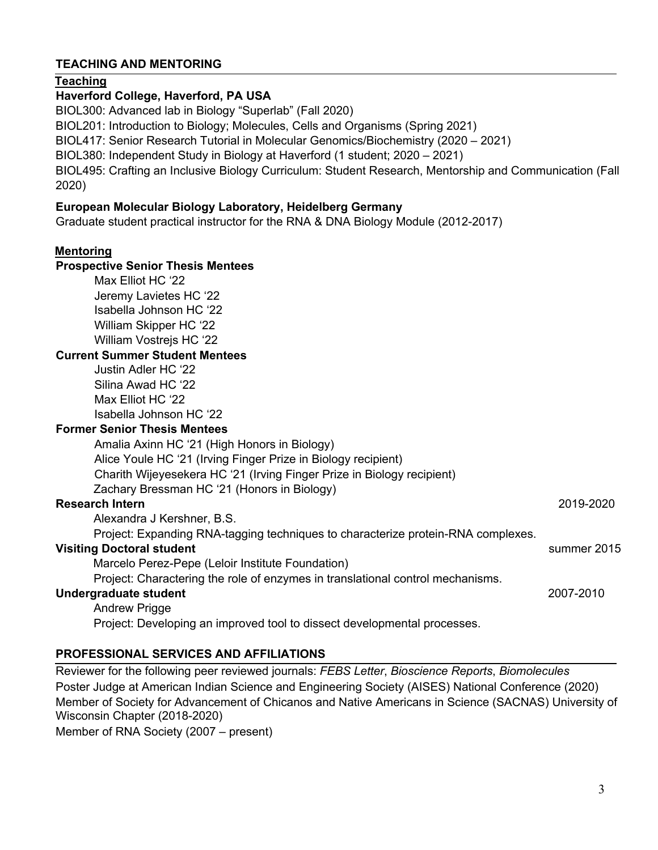# **TEACHING AND MENTORING**

#### **Teaching**

#### **Haverford College, Haverford, PA USA**

BIOL300: Advanced lab in Biology "Superlab" (Fall 2020) BIOL201: Introduction to Biology; Molecules, Cells and Organisms (Spring 2021) BIOL417: Senior Research Tutorial in Molecular Genomics/Biochemistry (2020 – 2021) BIOL380: Independent Study in Biology at Haverford (1 student; 2020 – 2021) BIOL495: Crafting an Inclusive Biology Curriculum: Student Research, Mentorship and Communication (Fall 2020)

#### **European Molecular Biology Laboratory, Heidelberg Germany**

Graduate student practical instructor for the RNA & DNA Biology Module (2012-2017)

#### **Mentoring**

# **Prospective Senior Thesis Mentees**

Max Elliot HC '22 Jeremy Lavietes HC '22 Isabella Johnson HC '22 William Skipper HC '22 William Vostreis HC '22

#### **Current Summer Student Mentees**

Justin Adler HC '22 Silina Awad HC '22 Max Elliot HC '22 Isabella Johnson HC '22

#### **Former Senior Thesis Mentees**

Amalia Axinn HC '21 (High Honors in Biology) Alice Youle HC '21 (Irving Finger Prize in Biology recipient) Charith Wijeyesekera HC '21 (Irving Finger Prize in Biology recipient) Zachary Bressman HC '21 (Honors in Biology)

#### **Research Intern** 2019-2020

Alexandra J Kershner, B.S.

Project: Expanding RNA-tagging techniques to characterize protein-RNA complexes.

#### **Visiting Doctoral student** summer 2015

Marcelo Perez-Pepe (Leloir Institute Foundation)

Project: Charactering the role of enzymes in translational control mechanisms.

#### **Undergraduate student** 2007-2010

Andrew Prigge Project: Developing an improved tool to dissect developmental processes.

#### **PROFESSIONAL SERVICES AND AFFILIATIONS**

Reviewer for the following peer reviewed journals: *FEBS Letter*, *Bioscience Reports*, *Biomolecules* Poster Judge at American Indian Science and Engineering Society (AISES) National Conference (2020) Member of Society for Advancement of Chicanos and Native Americans in Science (SACNAS) University of Wisconsin Chapter (2018-2020)

Member of RNA Society (2007 – present)